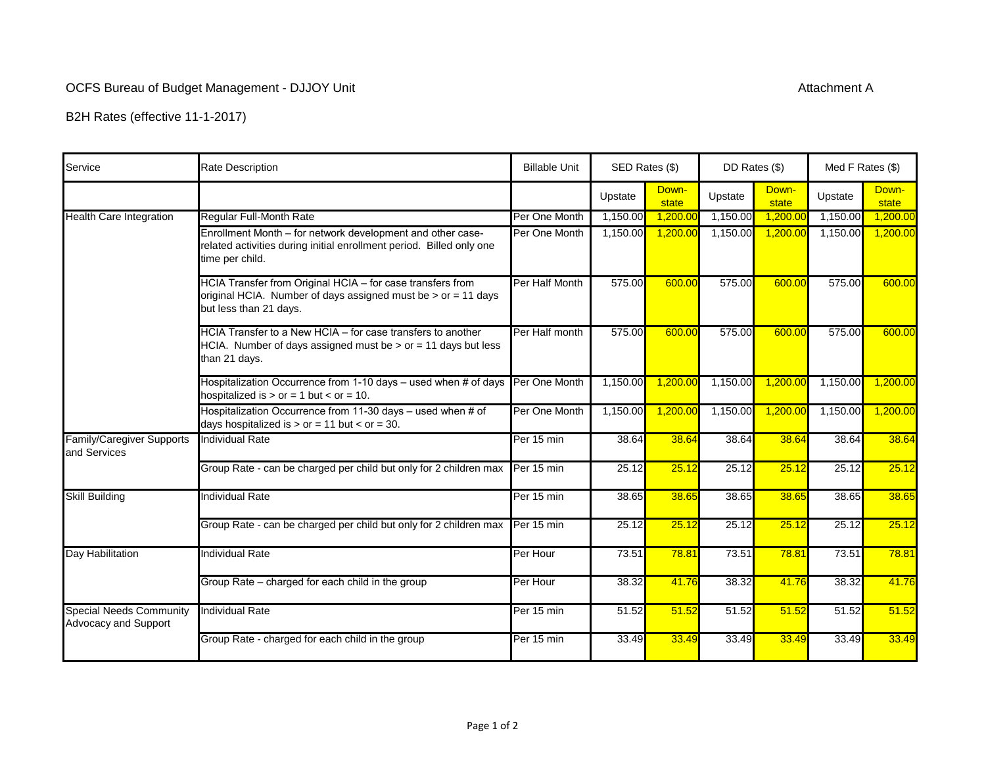## OCFS Bureau of Budget Management - DJJOY Unit

B2H Rates (effective 11-1-2017)

| Service                                                | <b>Rate Description</b>                                                                                                                               | <b>Billable Unit</b> | SED Rates (\$) |                | DD Rates (\$) |                | Med F Rates (\$) |                |
|--------------------------------------------------------|-------------------------------------------------------------------------------------------------------------------------------------------------------|----------------------|----------------|----------------|---------------|----------------|------------------|----------------|
|                                                        |                                                                                                                                                       |                      | Upstate        | Down-<br>state | Upstate       | Down-<br>state | Upstate          | Down-<br>state |
| <b>Health Care Integration</b>                         | <b>Regular Full-Month Rate</b>                                                                                                                        | Per One Month        | 1,150.00       | 1,200.00       | 1,150.00      | 1,200.00       | 1,150.00         | 1,200.00       |
|                                                        | Enrollment Month - for network development and other case-<br>related activities during initial enrollment period. Billed only one<br>time per child. | Per One Month        | 1,150.00       | 1,200.00       | 1,150.00      | 1,200.00       | 1,150.00         | 1,200.00       |
|                                                        | HCIA Transfer from Original HCIA - for case transfers from<br>original HCIA. Number of days assigned must be > or = 11 days<br>but less than 21 days. | Per Half Month       | 575.00         | 600.00         | 575.00        | 600.00         | 575.00           | 600.00         |
|                                                        | HCIA Transfer to a New HCIA - for case transfers to another<br>HCIA. Number of days assigned must be $>$ or = 11 days but less<br>than 21 days.       | Per Half month       | 575.00         | 600.00         | 575.00        | 600.00         | 575.00           | 600.00         |
|                                                        | Hospitalization Occurrence from 1-10 days - used when # of days<br>hospitalized is $>$ or = 1 but < or = 10.                                          | Per One Month        | 1,150.00       | 1,200.00       | 1,150.00      | 1,200.00       | 1,150.00         | 1,200.00       |
|                                                        | Hospitalization Occurrence from 11-30 days - used when # of<br>days hospitalized is $>$ or = 11 but < or = 30.                                        | Per One Month        | 1,150.00       | 1,200.00       | 1,150.00      | 1,200.00       | 1,150.00         | 1,200.00       |
| <b>Family/Caregiver Supports</b><br>and Services       | <b>Individual Rate</b>                                                                                                                                | Per 15 min           | 38.64          | 38.64          | 38.64         | 38.64          | 38.64            | 38.64          |
|                                                        | Group Rate - can be charged per child but only for 2 children max                                                                                     | Per 15 min           | 25.12          | 25.12          | 25.12         | 25.12          | 25.12            | 25.12          |
| <b>Skill Building</b>                                  | <b>Individual Rate</b>                                                                                                                                | Per 15 min           | 38.65          | 38.65          | 38.65         | 38.65          | 38.65            | 38.65          |
|                                                        | Group Rate - can be charged per child but only for 2 children max                                                                                     | Per 15 min           | 25.12          | 25.12          | 25.12         | 25.12          | 25.12            | 25.12          |
| Day Habilitation                                       | <b>Individual Rate</b>                                                                                                                                | Per Hour             | 73.51          | 78.81          | 73.51         | 78.81          | 73.51            | 78.81          |
|                                                        | Group Rate - charged for each child in the group                                                                                                      | Per Hour             | 38.32          | 41.76          | 38.32         | 41.76          | 38.32            | 41.76          |
| <b>Special Needs Community</b><br>Advocacy and Support | <b>Individual Rate</b>                                                                                                                                | Per 15 min           | 51.52          | 51.52          | 51.52         | 51.52          | 51.52            | 51.52          |
|                                                        | Group Rate - charged for each child in the group                                                                                                      | Per 15 min           | 33.49          | 33.49          | 33.49         | 33.49          | 33.49            | 33.49          |